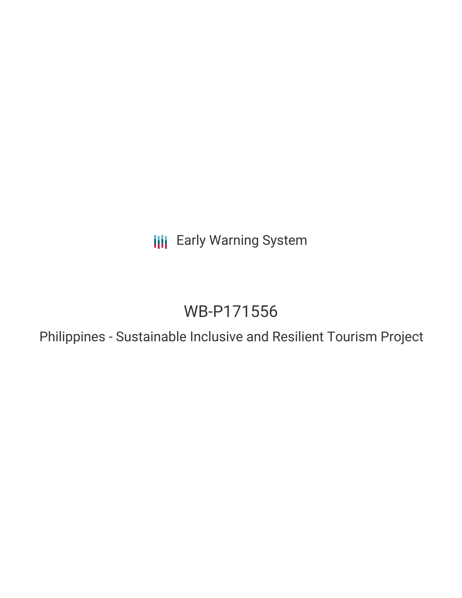**III** Early Warning System

# WB-P171556

Philippines - Sustainable Inclusive and Resilient Tourism Project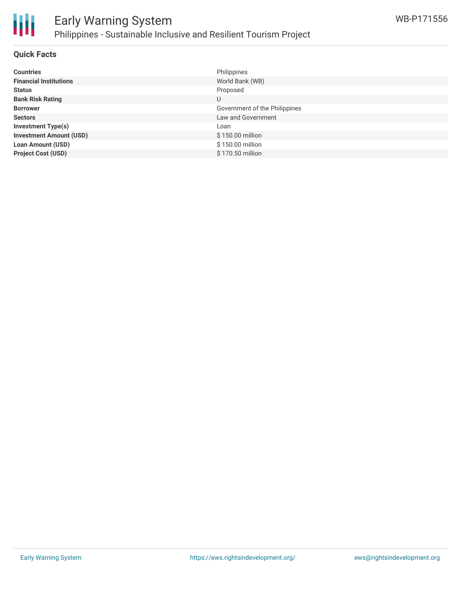

### **Quick Facts**

| <b>Countries</b>               | Philippines                   |
|--------------------------------|-------------------------------|
| <b>Financial Institutions</b>  | World Bank (WB)               |
| <b>Status</b>                  | Proposed                      |
| <b>Bank Risk Rating</b>        | U                             |
| <b>Borrower</b>                | Government of the Philippines |
| <b>Sectors</b>                 | Law and Government            |
| <b>Investment Type(s)</b>      | Loan                          |
| <b>Investment Amount (USD)</b> | \$150.00 million              |
| <b>Loan Amount (USD)</b>       | \$150.00 million              |
| <b>Project Cost (USD)</b>      | \$170.50 million              |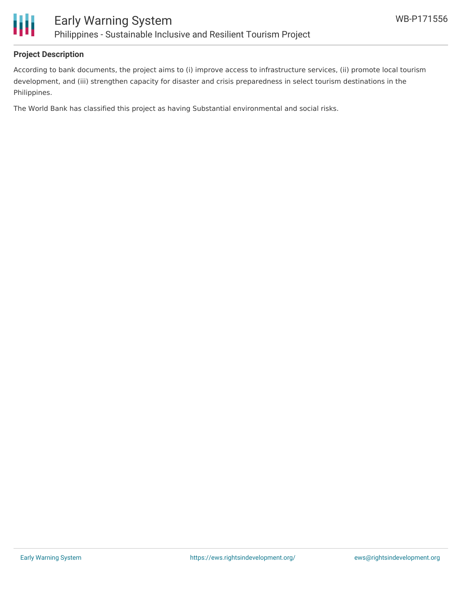

### **Project Description**

According to bank documents, the project aims to (i) improve access to infrastructure services, (ii) promote local tourism development, and (iii) strengthen capacity for disaster and crisis preparedness in select tourism destinations in the Philippines.

The World Bank has classified this project as having Substantial environmental and social risks.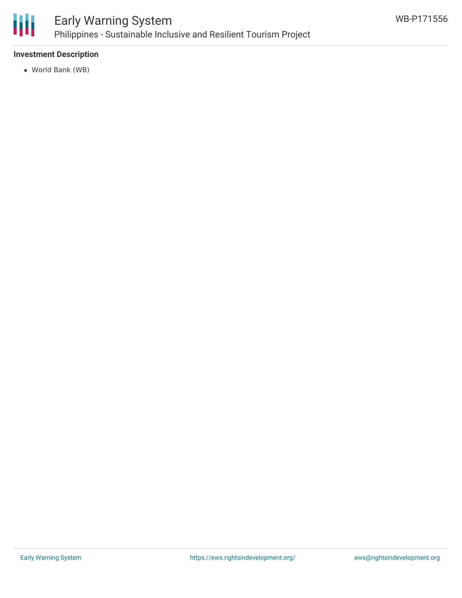

### **Investment Description**

World Bank (WB)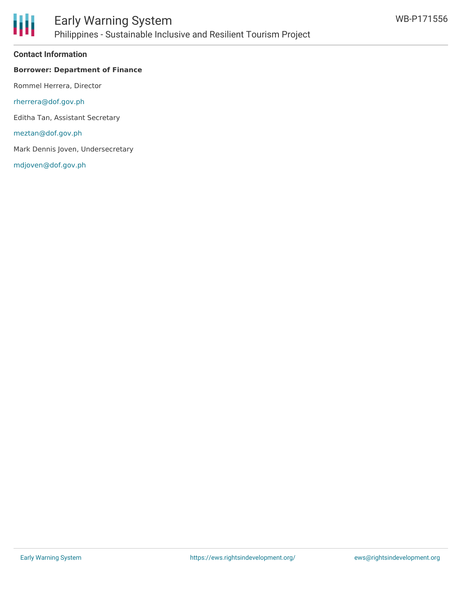

### Early Warning System Philippines - Sustainable Inclusive and Resilient Tourism Project

### **Contact Information**

### **Borrower: Department of Finance**

Rommel Herrera, Director

[rherrera@dof.gov.ph](mailto:rherrera@dof.gov.ph)

Editha Tan, Assistant Secretary

[meztan@dof.gov.ph](mailto:meztan@dof.gov.ph)

Mark Dennis Joven, Undersecretary

[mdjoven@dof.gov.ph](mailto:mdjoven@dof.gov.ph)